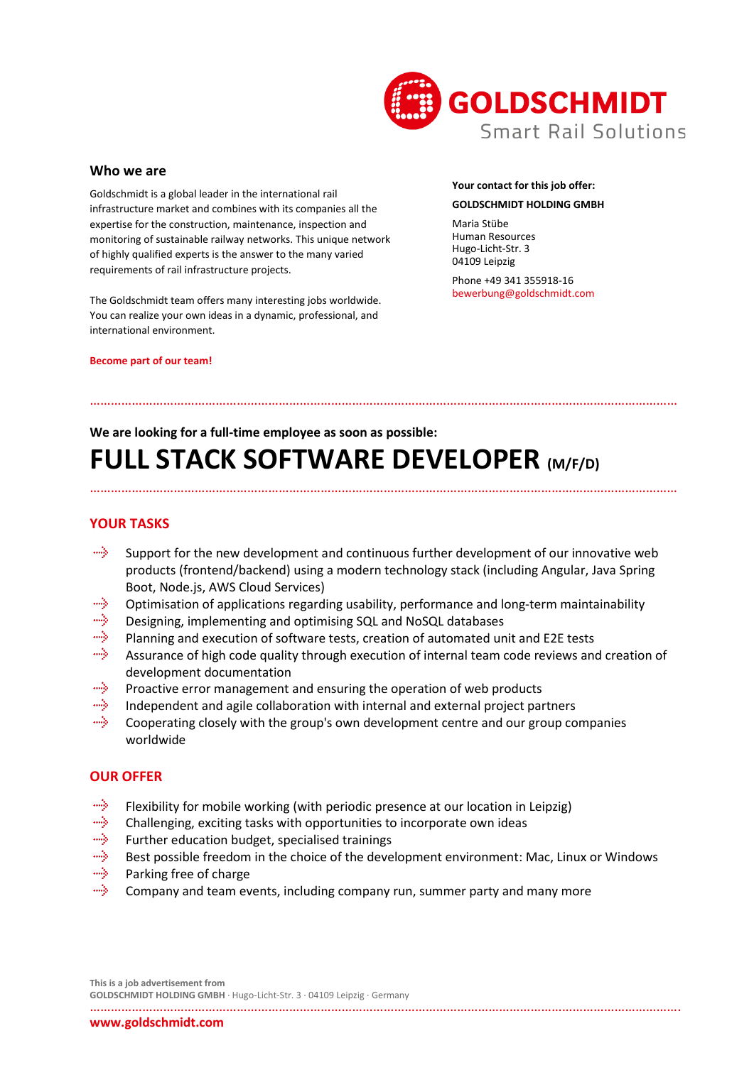

### **Who we are**

Goldschmidt is a global leader in the international rail infrastructure market and combines with its companies all the expertise for the construction, maintenance, inspection and monitoring of sustainable railway networks. This unique network of highly qualified experts is the answer to the many varied requirements of rail infrastructure projects.

The Goldschmidt team offers many interesting jobs worldwide. You can realize your own ideas in a dynamic, professional, and international environment.

#### **Become part of our team!**

## **Your contact for this job offer: GOLDSCHMIDT HOLDING GMBH**

Maria Stübe Human Resources Hugo-Licht-Str. 3 04109 Leipzig

Phone +49 341 355918-16 bewerbung@goldschmidt.com

### **We are looking for a full-time employee as soon as possible:**

……………………………………………………………………………………………………………………………………………………

# **FULL STACK SOFTWARE DEVELOPER (M/F/D)**

## **YOUR TASKS**

mily. Support for the new development and continuous further development of our innovative web products (frontend/backend) using a modern technology stack (including Angular, Java Spring Boot, Node.js, AWS Cloud Services)

……………………………………………………………………………………………………………………………………………………

- miy. Optimisation of applications regarding usability, performance and long-term maintainability
- aliyo Designing, implementing and optimising SQL and NoSQL databases
- miy. Planning and execution of software tests, creation of automated unit and E2E tests
- щŅ. Assurance of high code quality through execution of internal team code reviews and creation of development documentation
- aliyo. Proactive error management and ensuring the operation of web products
- miy. Independent and agile collaboration with internal and external project partners
- щŅ. Cooperating closely with the group's own development centre and our group companies worldwide

### **OUR OFFER**

- mily. Flexibility for mobile working (with periodic presence at our location in Leipzig)
- alije. Challenging, exciting tasks with opportunities to incorporate own ideas
- miş. Further education budget, specialised trainings
- aliya. Best possible freedom in the choice of the development environment: Mac, Linux or Windows
- alija. Parking free of charge
- mily. Company and team events, including company run, summer party and many more

**This is a job advertisement from GOLDSCHMIDT HOLDING GMBH** · Hugo-Licht-Str. 3 · 04109 Leipzig · Germany

…………………………………………………………………………………………………………………………………………………….